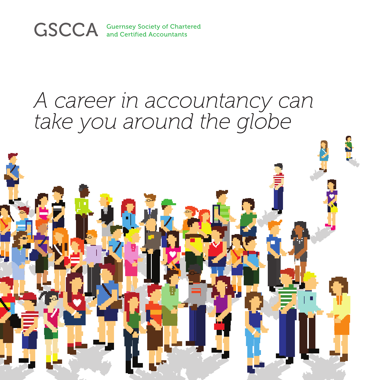

### *A career in accountancy can take you around the globe*

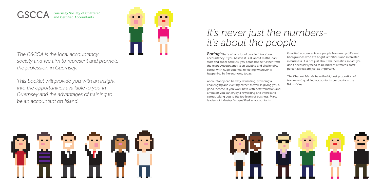*The GSCCA is the local accountancy society and we aim to represent and promote the profession in Guernsey.* 

*This booklet will provide you with an insight into the opportunities available to you in Guernsey and the advantages of training to be an accountant on Island.*

## *It's never just the numbersit's about the people*

*Boring!* That's what a lot of people think about accountancy. If you believe it is all about maths, dark suits and sober haircuts, you could not be further from the truth! Accountancy is an exciting and challenging career with huge potential reflecting whatever is happening in the economy today.

### GSCCA Guernsey Society of Chartered and Certified Accountants



Accountancy can be very rewarding, providing a challenging and exciting career as well as giving you a good income. If you work hard with determination and ambition you can enjoy a rewarding and interesting career, taking you to the top levels of business. Many leaders of industry first qualified as accountants.

Qualified accountants are people from many different backgrounds who are bright, ambitious and interested in business. It is not just about mathematics, in fact you don't necessarily need to be brilliant at maths; interpersonal skills are just as important.

The Channel Islands have the highest proportion of trainee and qualified accountants per capita in the







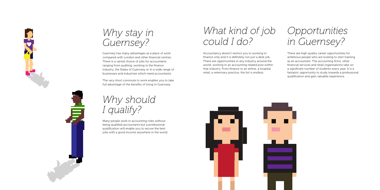There are high quality career opportunities for ambitious people who are looking to start training as an accountant. The accounting firms, other financial services and retail organisations take on a significant number of students every year. It is a fantastic opportunity to study towards a professional qualification and gain valuable experience.

# *Why should I qualify?*

Many people work in accounting roles without being qualified accountants but a professional qualification will enable you to secure the best jobs with a good income anywhere in the world.



## *Why stay in Guernsey?*

Guernsey has many advantages as a place of work compared with London and other financial centres. There is a varied choice of jobs for accountants ranging from auditing, working in the finance industry, the States of Guernsey or in a wide range of businesses and industries which need accountants.

The very short commute to work enables you to take full advantage of the benefits of living in Guernsey.

# *What kind of job could I do?*

Accountancy doesn't restrict you to working in finance only and it is definitely not just a desk job. There are opportunities in any industry around the world, working in an accounting related post within that industry. From finance to an airline, a hospital, retail, a veterinary practice, the list is endless.





*Opportunities in Guernsey?*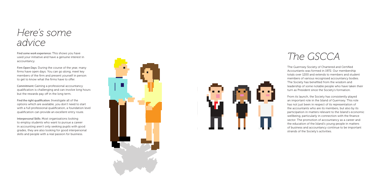## *Here's some advice*

Find some work experience: This shows you have used your initiative and have a genuine interest in accountancy.

Firm Open Days: During the course of the year, many firms have open days. You can go along, meet key members of the firm and present yourself in person to get to know what the firms have to offer.

Commitment: Gaining a professional accountancy qualification is challenging and can involve long hours but the rewards pay off in the long term.

Find the right qualification: Investigate all of the options which are available, you don't need to start with a full professional qualification, a foundation level qualification can provide an excellent entry route.

Interpersonal Skills: Most organisations looking to employ students who want to pursue a career in accounting aren't only seeking pupils with good grades, they are also looking for good interpersonal skills and people with a real passion for business.





### *The GSCCA*

The Guernsey Society of Chartered and Certified Accountants was formed in 1972. Our membership totals over 1200 and extends to members and student members of various recognised accountancy bodies. The Society has benefited from the wisdom and leadership of some notable people who have taken their turn as President since the Society's formation.

From its launch, the Society has consistently played an important role in the Island of Guernsey. This role has not just been in respect of its representation of the accountants who are its members, but also by its participation in matters relevant to the Island's economic wellbeing, particularly in connection with the finance sector. The promotion of accountancy as a career and the education of the Island's young people in matters of business and accountancy continue to be important strands of the Society's activities.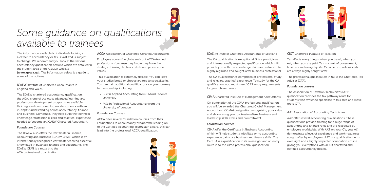# *Some guidance on qualifications available to trainees*

The information available to individuals looking at a career in accountancy or tax is vast and is subject to change. We recommend you look at the various accountancy qualification options which are detailed in the student area of the GSCCA website (www.gscca.gg). The information below is a guide to some of the options.

### ICAEW Institute of Chartered Accountants in England and Wales

The ICAEW chartered accountancy qualification, the ACA, is one of the most advanced learning and professional development programmes available. Its integrated components provide students with an in-depth understanding across accountancy, finance and business. Combined, they help build the technical knowledge, professional skills and practical experience needed to become an ICAEW Chartered Accountant.

### *Foundation Courses*

The ICAEW also offers the Certificate in Finance, Accounting and Business (ICAEW CFAB), which is an internationally recognised certificate teaching essential knowledge in business, finance and accounting. The ICAEW CFAB is a route into the ACA professional qualification.

ACCA Association of Chartered Certified Accountants

Employers across the globe seek out ACCA-trained professionals because they know they have the strategic thinking, technical skills and professional values.

This qualification is extremely flexible. You can keep your studies broad or choose an area to specialise in. You can gain additional qualifications on your journey to membership, including

- BSc in Applied Accounting from Oxford Brookes University
- MSc in Professional Accountancy from the University of London

### *Foundation Courses*

ACCA offer several foundation courses from their Foundations in Accountancy programme leading on to the Certified Accounting Technician award, this can lead into the professional ACCA qualification.





ICAS Institute of Chartered Accountants of Scotland

The CA qualification is exceptional. It is a prestigious and internationally respected qualification which will provide you with the knowledge, skills and values to be highly regarded and sought-after business professional.

The CA qualification is comprised of professional study and relevant practical experience. To study for the CA qualification, you must meet ICAS' entry requirements for your chosen route.

CIMA Chartered Institute of Management Accountants

On completion of the CIMA professional qualification you will be awarded the Chartered Global Management Accountant (CGMA) designation recognising your value and showcasing your professionalism, business and leadership skills ethics and commitment

### *Foundation courses*

CIMA offer the Certificate in Business Accounting which will help students with little or no accounting experience gain core business and finance skills. The Cert BA is a qualification in its own-right and an entry route in to the CIMA professional qualification

CIOT Chartered Institute of Taxation

Tax affects everything - when you travel, when you eat, when you are paid. Tax is a part of government, business and everyday life. Capable tax professionals are always highly sought after.

The professional qualification in tax is the Chartered Tax Adviser (CTA).

### *Foundation courses*

The Association of Taxation Technicians (ATT) qualification provides the tax pathway route for students who which to specialise in this area and move

on to CTA.



AAT Association of Accounting Technician

AAT offer several accounting qualifications. These qualifications provide training for a huge range of accounting and finance roles and are respected by employers worldwide. With AAT on your CV, you will demonstrate a level of excellence and work-readiness sought after by employees. AAT is a qualification in its' own right and a highly respected foundation course giving you exemptions with all UK chartered and certified accountancy bodies.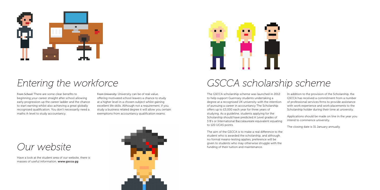# *Entering the workforce GSCCA scholarship scheme*



From School: There are some clear benefits to beginning your career straight after school allowing early progression up the career ladder and the chance to start earning whilst also achieving a great globally recognised qualification. You don't necessarily need a maths A-level to study accountancy.

From University: University can be of real value, offering motivated school leavers a chance to study at a higher level in a chosen subject whilst gaining excellent life skills. Although not a requirement, if you study a business related degree it will allow you certain exemptions from accountancy qualification exams.

The GSCCA scholarship scheme was launched in 2012 to help support Guernsey students undertaking a degree at a recognised UK university with the intention of pursuing a career in accountancy The Scholarship offers up to £5,000 each year for three years of studying. As a guideline, students applying for the Scholarship should have predicted A Level grades of 3 B's or International Baccalaureate equivalent equating to 120 UCAS points.

The aim of the GSCCA is to make a real difference to the student who is awarded the scholarship, and although no formal means-testing applies, preference will be given to students who may otherwise struggle with the funding of their tuition and maintenance.

In addition to the provision of the Scholarship, the GSCCA has received a commitment from a number of professional services firms to provide assistance with work experience and work placements to the Scholarship holder during their time at university.

Applications should be made on line in the year you intend to commence university.

The closing date is 31 January annually.



Have a look at the student area of our website, there is masses of useful information. www.gscca.gg